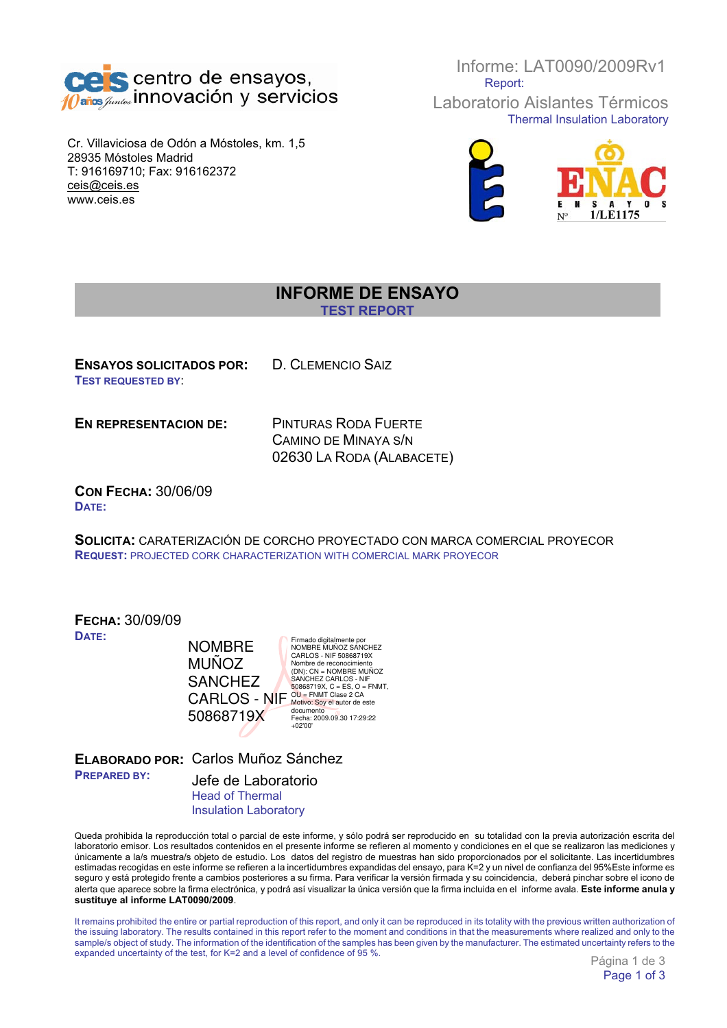

Cr. Villaviciosa de Odón a Móstoles, km. 1,5 28935 Móstoles Madrid T: 916169710; Fax: 916162372 ceis@ceis.es www.ceis.es

Informe: LAT0090/2009Rv1 Report:

Laboratorio Aislantes Térmicos Thermal Insulation Laboratory



## **INFORME DE ENSAYO**

**TEST REPORT**

**ENSAYOS SOLICITADOS POR:** D. CLEMENCIO SAIZ **TEST REQUESTED BY**:

**EN REPRESENTACION DE:** PINTURAS RODA FUERTE

CAMINO DE MINAYA S/N 02630 LA RODA (ALABACETE)

**CON FECHA:** 30/06/09 **DATE:**

**SOLICITA:** CARATERIZACIÓN DE CORCHO PROYECTADO CON MARCA COMERCIAL PROYECOR **REQUEST:** PROJECTED CORK CHARACTERIZATION WITH COMERCIAL MARK PROYECOR

| <b>FECHA: 30/09/09</b> |                                                                                    |
|------------------------|------------------------------------------------------------------------------------|
| <b>NOMBRE</b>          | Firmado digitalmente por<br>NOMBRE MUÑOZ SANCHEZ                                   |
| <b>MUÑOZ</b>           | CARLOS - NIF 50868719X<br>Nombre de reconocimiento<br>$(DN)$ : $CN = NOMBRE$ MUNOZ |
| <b>SANCHEZ</b>         | <b>SANCHEZ CARLOS - NIF</b><br>50868719X, $C = ES$ , $O = FNMT$ .                  |
|                        | $OU = FNMT$ Clase 2 CA<br>Motivo: Soy el autor de este                             |
| 50868719X              | documento<br>Fecha: 2009.09.30 17:29:22<br>$+02'00'$                               |
|                        | <b>CARLOS - NIF</b>                                                                |

**ELABORADO POR:** Carlos Muñoz Sánchez **PREPARED BY:** Jefe de Laboratorio Head of Thermal

Insulation Laboratory

Queda prohibida la reproducción total o parcial de este informe, y sólo podrá ser reproducido en su totalidad con la previa autorización escrita del laboratorio emisor. Los resultados contenidos en el presente informe se refieren al momento y condiciones en el que se realizaron las mediciones y únicamente a la/s muestra/s objeto de estudio. Los datos del registro de muestras han sido proporcionados por el solicitante. Las incertidumbres estimadas recogidas en este informe se refieren a la incertidumbres expandidas del ensayo, para K=2 y un nivel de confianza del 95%Este informe es seguro y está protegido frente a cambios posteriores a su firma. Para verificar la versión firmada y su coincidencia, deberá pinchar sobre el icono de alerta que aparece sobre la firma electrónica, y podrá así visualizar la única versión que la firma incluida en el informe avala. **Este informe anula y sustituye al informe LAT0090/2009**.

It remains prohibited the entire or partial reproduction of this report, and only it can be reproduced in its totality with the previous written authorization of the issuing laboratory. The results contained in this report refer to the moment and conditions in that the measurements where realized and only to the sample/s object of study. The information of the identification of the samples has been given by the manufacturer. The estimated uncertainty refers to the expanded uncertainty of the test, for K=2 and a level of confidence of 95 %.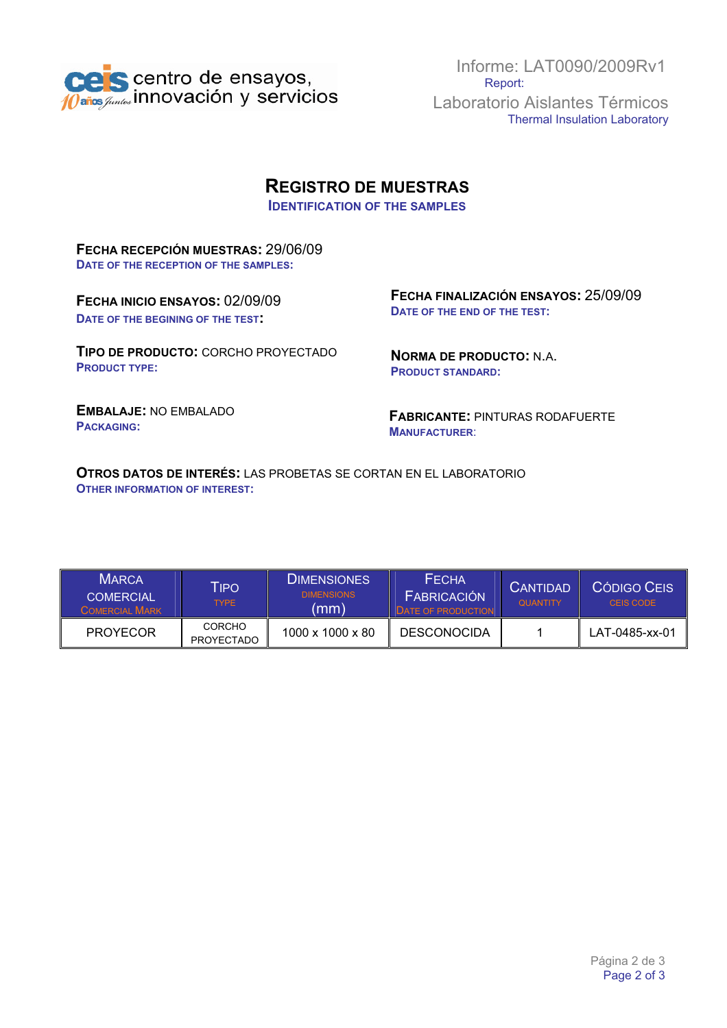

Informe: LAT0090/2009Rv1 Report: Laboratorio Aislantes Térmicos Thermal Insulation Laboratory

## **REGISTRO DE MUESTRAS**

**IDENTIFICATION OF THE SAMPLES**

**FECHA RECEPCIÓN MUESTRAS:** 29/06/09 **DATE OF THE RECEPTION OF THE SAMPLES:**

**FECHA INICIO ENSAYOS:** 02/09/09 **DATE OF THE BEGINING OF THE TEST:**

**TIPO DE PRODUCTO:** CORCHO PROYECTADO **PRODUCT TYPE:**

**FECHA FINALIZACIÓN ENSAYOS:** 25/09/09 **DATE OF THE END OF THE TEST:**

**NORMA DE PRODUCTO:** N.A. **PRODUCT STANDARD:**

**EMBALAJE:** NO EMBALADO **PACKAGING:**

**FABRICANTE:** PINTURAS RODAFUERTE **MANUFACTURER**:

**OTROS DATOS DE INTERÉS:** LAS PROBETAS SE CORTAN EN EL LABORATORIO **OTHER INFORMATION OF INTEREST:**

| <b>MARCA</b><br>COMERCIAL<br>COMERCIAL MARK | <b>TIPO</b><br><b>TYPE</b>         | <b>DIMENSIONES</b><br><b>DIMENSIONS</b><br>(mm) | <b>FECHA</b><br><b>FABRICACIÓN</b><br><b>DATE OF PRODUCTION</b> | <b>CANTIDAD</b><br><b>QUANTITY</b> | CÓDIGO CEIS<br>CEIS CODE |
|---------------------------------------------|------------------------------------|-------------------------------------------------|-----------------------------------------------------------------|------------------------------------|--------------------------|
| <b>PROYECOR</b>                             | <b>CORCHO</b><br><b>PROYECTADO</b> | $1000 \times 1000 \times 80$                    | <b>DESCONOCIDA</b>                                              |                                    | LAT-0485-xx-01           |